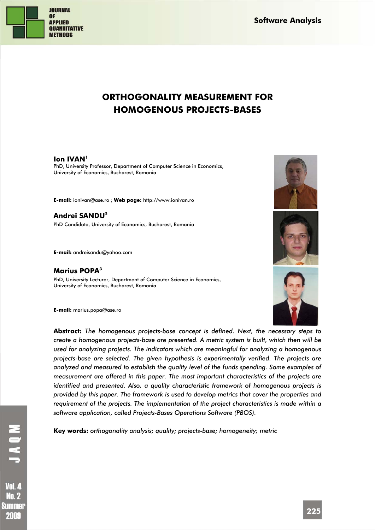

**Software Analysis** 

# **ORTHOGONALITY MEASUREMENT FOR HOMOGENOUS PROJECTS-BASES**

## **Ion IVAN**<sup>1</sup>

PhD, University Professor, Department of Computer Science in Economics, University of Economics, Bucharest, Romania

**E-mail:** ionivan@ase.ro ; **Web page:** http://www.ionivan.ro

**Andrei SANDU2** PhD Candidate, University of Economics, Bucharest, Romania

**E-mail:** andreisandu@yahoo.com

# **Marius POPA3**

PhD, University Lecturer, Department of Computer Science in Economics, University of Economics, Bucharest, Romania

**E-mail:** marius.popa@ase.ro







**Abstract:** *The homogenous projects-base concept is defined. Next, the necessary steps to create a homogenous projects-base are presented. A metric system is built, which then will be used for analyzing projects. The indicators which are meaningful for analyzing a homogenous projects-base are selected. The given hypothesis is experimentally verified. The projects are analyzed and measured to establish the quality level of the funds spending. Some examples of measurement are offered in this paper. The most important characteristics of the projects are identified and presented. Also, a quality characteristic framework of homogenous projects is provided by this paper. The framework is used to develop metrics that cover the properties and requirement of the projects. The implementation of the project characteristics is made within a software application, called Projects-Bases Operations Software (PBOS).* 

**Key words:** *orthogonality analysis; quality; projects-base; homogeneity; metric* 

Vnl 4 No. 2 Summer 2009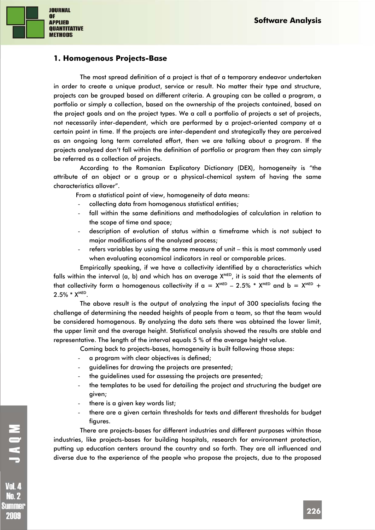

# **1. Homogenous Projects-Base**

The most spread definition of a project is that of a temporary endeavor undertaken in order to create a unique product, service or result. No matter their type and structure, projects can be grouped based on different criteria. A grouping can be called a program, a portfolio or simply a collection, based on the ownership of the projects contained, based on the project goals and on the project types. We a call a portfolio of projects a set of projects, not necessarily inter-dependent, which are performed by a project-oriented company at a certain point in time. If the projects are inter-dependent and strategically they are perceived as an ongoing long term correlated effort, then we are talking about a program. If the projects analyzed don't fall within the definition of portfolio or program then they can simply be referred as a collection of projects.

According to the Romanian Explicatory Dictionary (DEX), homogeneity is "the attribute of an object or a group or a physical-chemical system of having the same characteristics allover".

From a statistical point of view, homogeneity of data means:

- collecting data from homogenous statistical entities;
- fall within the same definitions and methodologies of calculation in relation to the scope of time and space;
- description of evolution of status within a timeframe which is not subject to major modifications of the analyzed process;
- refers variables by using the same measure of unit this is most commonly used when evaluating economical indicators in real or comparable prices.

Empirically speaking, if we have a collectivity identified by a characteristics which falls within the interval (a, b) and which has an average  $X^{\text{MED}}$ , it is said that the elements of that collectivity form a homogenous collectivity if  $a = X^{\text{MED}} - 2.5\% * X^{\text{MED}}$  and  $b = X^{\text{MED}} +$  $2.5\% * X^{MED}$ .

The above result is the output of analyzing the input of 300 specialists facing the challenge of determining the needed heights of people from a team, so that the team would be considered homogenous. By analyzing the data sets there was obtained the lower limit, the upper limit and the average height. Statistical analysis showed the results are stable and representative. The length of the interval equals 5 % of the average height value.

Coming back to projects-bases, homogeneity is built following those steps:

- a program with clear objectives is defined;
- guidelines for drawing the projects are presented;
- the guidelines used for assessing the projects are presented;
- the templates to be used for detailing the project and structuring the budget are given;
- there is a given key words list;
- there are a given certain thresholds for texts and different thresholds for budget figures.

There are projects-bases for different industries and different purposes within those industries, like projects-bases for building hospitals, research for environment protection, putting up education centers around the country and so forth. They are all influenced and diverse due to the experience of the people who propose the projects, due to the proposed

**No. 2** Summer 2009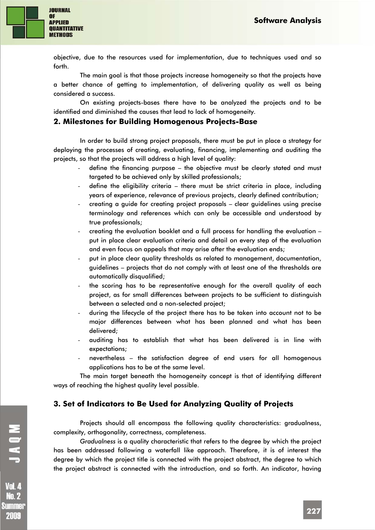

objective, due to the resources used for implementation, due to techniques used and so forth.

The main goal is that those projects increase homogeneity so that the projects have a better chance of getting to implementation, of delivering quality as well as being considered a success.

On existing projects-bases there have to be analyzed the projects and to be identified and diminished the causes that lead to lack of homogeneity.

## **2. Milestones for Building Homogenous Projects-Base**

In order to build strong project proposals, there must be put in place a strategy for deploying the processes of creating, evaluating, financing, implementing and auditing the projects, so that the projects will address a high level of quality:

- define the financing purpose the objective must be clearly stated and must targeted to be achieved only by skilled professionals;
- define the eligibility criteria there must be strict criteria in place, including years of experience, relevance of previous projects, clearly defined contribution;
- creating a guide for creating project proposals clear guidelines using precise terminology and references which can only be accessible and understood by true professionals;
- creating the evaluation booklet and a full process for handling the evaluation put in place clear evaluation criteria and detail on every step of the evaluation and even focus on appeals that may arise after the evaluation ends;
- put in place clear quality thresholds as related to management, documentation, guidelines – projects that do not comply with at least one of the thresholds are automatically disqualified;
- the scoring has to be representative enough for the overall quality of each project, as for small differences between projects to be sufficient to distinguish between a selected and a non-selected project;
- during the lifecycle of the project there has to be taken into account not to be major differences between what has been planned and what has been delivered;
- auditing has to establish that what has been delivered is in line with expectations;
- nevertheless the satisfaction degree of end users for all homogenous applications has to be at the same level.

The main target beneath the homogeneity concept is that of identifying different ways of reaching the highest quality level possible.

# **3. Set of Indicators to Be Used for Analyzing Quality of Projects**

Projects should all encompass the following quality characteristics: gradualness, complexity, orthogonality, correctness, completeness.

*Gradualness* is a quality characteristic that refers to the degree by which the project has been addressed following a waterfall like approach. Therefore, it is of interest the degree by which the project title is connected with the project abstract, the degree to which the project abstract is connected with the introduction, and so forth. An indicator, having

**Vol. 4 No. 2** Summer 2009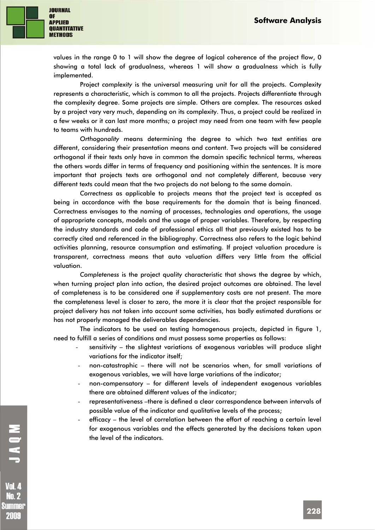

values in the range 0 to 1 will show the degree of logical coherence of the project flow, 0 showing a total lack of gradualness, whereas 1 will show a gradualness which is fully implemented.

Project *complexity* is the universal measuring unit for all the projects. Complexity represents a characteristic, which is common to all the projects. Projects differentiate through the complexity degree. Some projects are simple. Others are complex. The resources asked by a project vary very much, depending on its complexity. Thus, a project could be realized in a few weeks or it can last more months; a project may need from one team with few people to teams with hundreds.

*Orthogonality* means determining the degree to which two text entities are different, considering their presentation means and content. Two projects will be considered orthogonal if their texts only have in common the domain specific technical terms, whereas the others words differ in terms of frequency and positioning within the sentences. It is more important that projects texts are orthogonal and not completely different, because very different texts could mean that the two projects do not belong to the same domain.

*Correctness* as applicable to projects means that the project text is accepted as being in accordance with the base requirements for the domain that is being financed. Correctness envisages to the naming of processes, technologies and operations, the usage of appropriate concepts, models and the usage of proper variables. Therefore, by respecting the industry standards and code of professional ethics all that previously existed has to be correctly cited and referenced in the bibliography. Correctness also refers to the logic behind activities planning, resource consumption and estimating. If project valuation procedure is transparent, correctness means that auto valuation differs very little from the official valuation.

*Completeness* is the project quality characteristic that shows the degree by which, when turning project plan into action, the desired project outcomes are obtained. The level of completeness is to be considered one if supplementary costs are not present. The more the completeness level is closer to zero, the more it is clear that the project responsible for project delivery has not taken into account some activities, has badly estimated durations or has not properly managed the deliverables dependencies.

The indicators to be used on testing homogenous projects, depicted in figure 1, need to fulfill a series of conditions and must possess some properties as follows:

- sensitivity the slightest variations of exogenous variables will produce slight variations for the indicator itself;
- non-catastrophic there will not be scenarios when, for small variations of exogenous variables, we will have large variations of the indicator;
- non-compensatory for different levels of independent exogenous variables there are obtained different values of the indicator;
- representativeness -there is defined a clear correspondence between intervals of possible value of the indicator and qualitative levels of the process;
- efficacy the level of correlation between the effort of reaching a certain level for exogenous variables and the effects generated by the decisions taken upon the level of the indicators.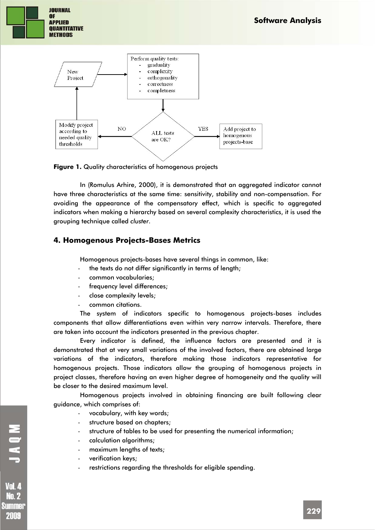



**Figure 1.** Quality characteristics of homogenous projects

In (Romulus Arhire, 2000), it is demonstrated that an aggregated indicator cannot have three characteristics at the same time: sensitivity, stability and non-compensation. For avoiding the appearance of the compensatory effect, which is specific to aggregated indicators when making a hierarchy based on several complexity characteristics, it is used the grouping technique called *cluster*.

# **4. Homogenous Projects-Bases Metrics**

Homogenous projects-bases have several things in common, like:

- the texts do not differ significantly in terms of length;
- common vocabularies;
- frequency level differences;
- close complexity levels;
- common citations.

The system of indicators specific to homogenous projects-bases includes components that allow differentiations even within very narrow intervals. Therefore, there are taken into account the indicators presented in the previous chapter.

Every indicator is defined, the influence factors are presented and it is demonstrated that at very small variations of the involved factors, there are obtained large variations of the indicators, therefore making those indicators representative for homogenous projects. Those indicators allow the grouping of homogenous projects in project classes, therefore having an even higher degree of homogeneity and the quality will be closer to the desired maximum level.

Homogenous projects involved in obtaining financing are built following clear guidance, which comprises of:

- vocabulary, with key words;
- structure based on chapters;
- structure of tables to be used for presenting the numerical information;
- calculation algorithms;
- maximum lengths of texts;
- verification keys;
- restrictions regarding the thresholds for eligible spending.

MOKL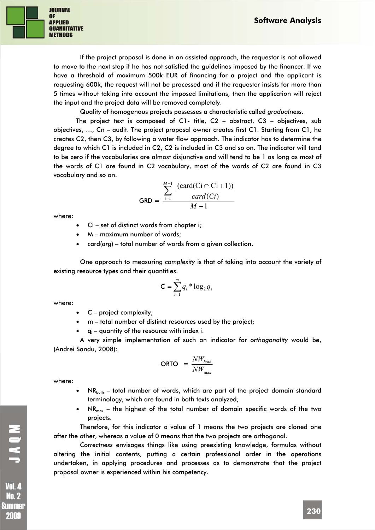

If the project proposal is done in an assisted approach, the requestor is not allowed to move to the next step if he has not satisfied the guidelines imposed by the financer. If we have a threshold of maximum 500k EUR of financing for a project and the applicant is requesting 600k, the request will not be processed and if the requester insists for more than 5 times without taking into account the imposed limitations, then the application will reject the input and the project data will be removed completely.

Quality of homogenous projects possesses a characteristic called *gradualness*.

The project text is composed of C1- title, C2 – abstract, C3 – objectives, sub objectives, …, Cn – audit. The project proposal owner creates first C1. Starting from C1, he creates C2, then C3, by following a water flow approach. The indicator has to determine the degree to which C1 is included in C2, C2 is included in C3 and so on. The indicator will tend to be zero if the vocabularies are almost disjunctive and will tend to be 1 as long as most of the words of C1 are found in C2 vocabulary, most of the words of C2 are found in C3 vocabulary and so on.

$$
GRD = \frac{\sum_{i=1}^{M-1} \frac{(card(Ci \cap Ci + 1))}{card(Ci)}}{M-1}
$$

where:

- Ci set of distinct words from chapter i;
- $M$  maximum number of words;
- card(*arg*) total number of words from a given collection.

One approach to measuring *complexity* is that of taking into account the variety of existing resource types and their quantities.

$$
\mathsf{C} = \sum_{i=1}^{m} q_i * \log_2 q_i
$$

where:

- C project complexity;
- m total number of distinct resources used by the project;
- $\bullet$  q<sub>i</sub> quantity of the resource with index i.

A very simple implementation of such an indicator for *orthogonality* would be, (Andrei Sandu, 2008):

$$
\textbf{ORTO} = \frac{NW_{both}}{NW_{max}}
$$

where:

- $NR<sub>both</sub>$  total number of words, which are part of the project domain standard terminology, which are found in both texts analyzed;
- NR<sub>max</sub> the highest of the total number of domain specific words of the two projects.

Therefore, for this indicator a value of 1 means the two projects are cloned one after the other, whereas a value of 0 means that the two projects are orthogonal.

*Correctness* envisages things like using preexisting knowledge, formulas without altering the initial contents, putting a certain professional order in the operations undertaken, in applying procedures and processes as to demonstrate that the project proposal owner is experienced within his competency.

MOKT. **Vol. 4 No. 2** Summer 2009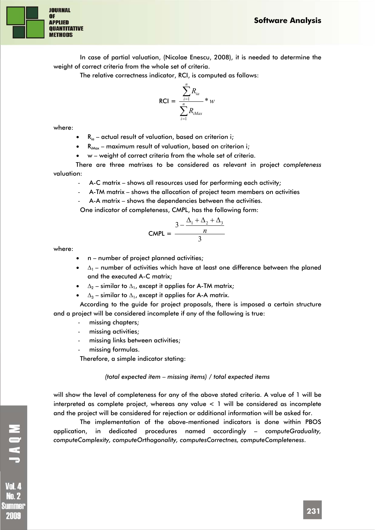

In case of partial valuation, (Nicolae Enescu, 2008), it is needed to determine the weight of correct criteria from the whole set of criteria.

The relative correctness indicator, RCI, is computed as follows:

$$
RCI = \frac{\sum_{i=1}^{n} R_{ia}}{\sum_{i=1}^{n} R_{iMax}} * w
$$

where:

 $R_{iq}$  – actual result of valuation, based on criterion i;

•  $R_{i\text{Max}}$  – maximum result of valuation, based on criterion i;

• w – weight of correct criteria from the whole set of criteria.

There are three matrixes to be considered as relevant in project *completeness* valuation:

A-C matrix – shows all resources used for performing each activity;

- A-TM matrix – shows the allocation of project team members on activities

A-A matrix – shows the dependencies between the activities.

One indicator of completeness, CMPL, has the following form:

$$
CMPL = \frac{3 - \frac{\Delta_1 + \Delta_2 + \Delta_3}{n}}{3}
$$

where:

- n number of project planned activities;
- $\Delta_1$  number of activities which have at least one difference between the planed and the executed A-C matrix;
- $\Delta_2$  similar to  $\Delta_1$ , except it applies for A-TM matrix;
- $\Delta_3$  similar to  $\Delta_1$ , except it applies for A-A matrix.

According to the guide for project proposals, there is imposed a certain structure and a project will be considered incomplete if any of the following is true:

- missing chapters;
- missing activities;
- missing links between activities;
- missing formulas.

Therefore, a simple indicator stating:

#### *(total expected item – missing items) / total expected items*

will show the level of completeness for any of the above stated criteria. A value of 1 will be interpreted as complete project, whereas any value < 1 will be considered as incomplete and the project will be considered for rejection or additional information will be asked for.

The implementation of the above-mentioned indicators is done within PBOS application, in dedicated procedures named accordingly – *computeGraduality, computeComplexity, computeOrthogonality, computesCorrectnes, computeCompleteness*.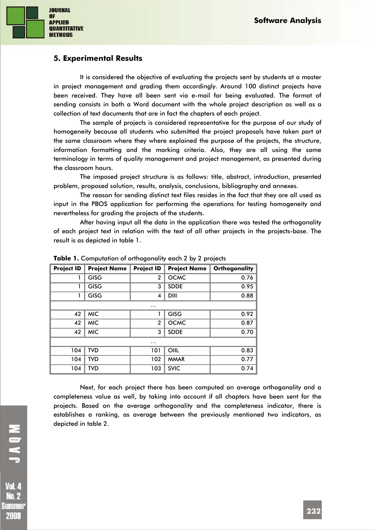

# **5. Experimental Results**

It is considered the objective of evaluating the projects sent by students at a master in project management and grading them accordingly. Around 100 distinct projects have been received. They have all been sent via e-mail for being evaluated. The format of sending consists in both a Word document with the whole project description as well as a collection of text documents that are in fact the chapters of each project.

The sample of projects is considered representative for the purpose of our study of homogeneity because all students who submitted the project proposals have taken part at the same classroom where they where explained the purpose of the projects, the structure, information formatting and the marking criteria. Also, they are all using the same terminology in terms of quality management and project management, as presented during the classroom hours.

The imposed project structure is as follows: title, abstract, introduction, presented problem, proposed solution, results, analysis, conclusions, bibliography and annexes.

The reason for sending distinct text files resides in the fact that they are all used as input in the PBOS application for performing the operations for testing homogeneity and nevertheless for grading the projects of the students.

After having input all the data in the application there was tested the orthogonality of each project text in relation with the text of all other projects in the projects-base. The result is as depicted in table 1.

| <b>Project ID</b> | <b>Project Name</b> | <b>Project ID</b>       | <b>Project Name</b> | Orthogonality |
|-------------------|---------------------|-------------------------|---------------------|---------------|
| 1                 | <b>GISG</b>         | $\mathbf{2}$            | <b>OCMC</b>         | 0.76          |
| 1                 | <b>GISG</b>         | 3                       | <b>SDDE</b>         | 0.95          |
| 1                 | <b>GISG</b>         | $\overline{\mathbf{4}}$ | <b>DIII</b>         | 0.88          |
| .                 |                     |                         |                     |               |
| 42                | <b>MIC</b>          |                         | <b>GISG</b>         | 0.92          |
| 42                | <b>MIC</b>          | $\overline{2}$          | <b>OCMC</b>         | 0.87          |
| 42                | <b>MIC</b>          | 3                       | <b>SDDE</b>         | 0.70          |
|                   |                     | .                       |                     |               |
| 104               | <b>TVD</b>          | 101                     | OIIL                | 0.83          |
| 104               | <b>TVD</b>          | 102                     | <b>MMAR</b>         | 0.77          |
| 104               | <b>TVD</b>          | 103                     | <b>SVIC</b>         | 0.74          |

**Table 1.** Computation of orthogonality each 2 by 2 projects

Next, for each project there has been computed an average orthogonality and a completeness value as well, by taking into account if all chapters have been sent for the projects. Based on the average orthogonality and the completeness indicator, there is establishes a ranking, as average between the previously mentioned two indicators, as depicted in table 2.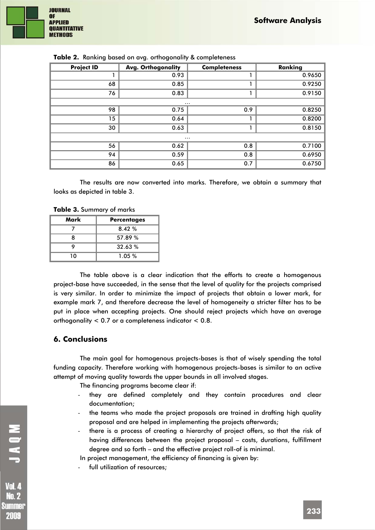

| $\frac{1}{2}$ and $\frac{1}{2}$ and $\frac{1}{2}$ belocated the drip of the spectrum $\frac{1}{2}$ at complete 1999 |                           |                     |         |  |  |
|---------------------------------------------------------------------------------------------------------------------|---------------------------|---------------------|---------|--|--|
| <b>Project ID</b>                                                                                                   | <b>Avg. Orthogonality</b> | <b>Completeness</b> | Ranking |  |  |
|                                                                                                                     | 0.93                      |                     | 0.9650  |  |  |
| 68                                                                                                                  | 0.85                      |                     | 0.9250  |  |  |
| 76                                                                                                                  | 0.83                      |                     | 0.9150  |  |  |
|                                                                                                                     | $\cdots$                  |                     |         |  |  |
| 98                                                                                                                  | 0.75                      | 0.9                 | 0.8250  |  |  |
| 15                                                                                                                  | 0.64                      |                     | 0.8200  |  |  |
| 30                                                                                                                  | 0.63                      | п                   | 0.8150  |  |  |
| $\cdots$                                                                                                            |                           |                     |         |  |  |
| 56                                                                                                                  | 0.62                      | 0.8                 | 0.7100  |  |  |
| 94                                                                                                                  | 0.59                      | 0.8                 | 0.6950  |  |  |
| 86                                                                                                                  | 0.65                      | 0.7                 | 0.6750  |  |  |

|  |  |  |  | Table 2. Ranking based on avg. orthogonality & completeness |  |  |
|--|--|--|--|-------------------------------------------------------------|--|--|
|--|--|--|--|-------------------------------------------------------------|--|--|

The results are now converted into marks. Therefore, we obtain a summary that looks as depicted in table 3.

**Table 3.** Summary of marks

| Mark | <b>Percentages</b> |
|------|--------------------|
|      | 8.42%              |
| 8    | 57.89 %            |
|      | 32.63%             |
| 10   | 1.05%              |

The table above is a clear indication that the efforts to create a homogenous project-base have succeeded, in the sense that the level of quality for the projects comprised is very similar. In order to minimize the impact of projects that obtain a lower mark, for example mark 7, and therefore decrease the level of homogeneity a stricter filter has to be put in place when accepting projects. One should reject projects which have an average orthogonality < 0.7 or a completeness indicator < 0.8.

## **6. Conclusions**

The main goal for homogenous projects-bases is that of wisely spending the total funding capacity. Therefore working with homogenous projects-bases is similar to an active attempt of moving quality towards the upper bounds in all involved stages.

The financing programs become clear if:

- they are defined completely and they contain procedures and clear documentation;
- the teams who made the project proposals are trained in drafting high quality proposal and are helped in implementing the projects afterwards;
- there is a process of creating a hierarchy of project offers, so that the risk of having differences between the project proposal – costs, durations, fulfillment degree and so forth – and the effective project roll-of is minimal.

In project management, the efficiency of financing is given by:

full utilization of resources: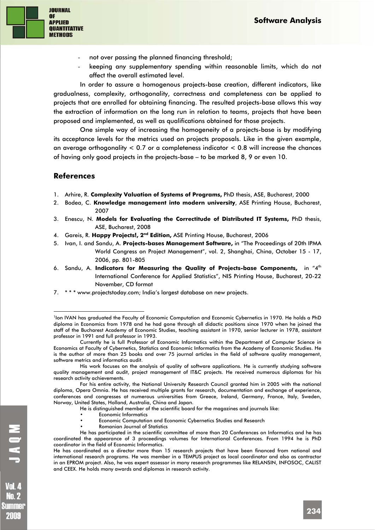

- not over passing the planned financing threshold;
- keeping any supplementary spending within reasonable limits, which do not affect the overall estimated level.

In order to assure a homogenous projects-base creation, different indicators, like gradualness, complexity, orthogonality, correctness and completeness can be applied to projects that are enrolled for obtaining financing. The resulted projects-base allows this way the extraction of information on the long run in relation to teams, projects that have been proposed and implemented, as well as qualifications obtained for those projects.

One simple way of increasing the homogeneity of a projects-base is by modifying its acceptance levels for the metrics used on projects proposals. Like in the given example, an average orthogonality  $< 0.7$  or a completeness indicator  $< 0.8$  will increase the chances of having only good projects in the projects-base – to be marked 8, 9 or even 10.

## **References**

1

- 1. Arhire, R. **Complexity Valuation of Systems of Programs,** PhD thesis, ASE, Bucharest, 2000
- 2. Bodea, C. **Knowledge management into modern university**, ASE Printing House, Bucharest, 2007
- 3. Enescu, N. **Models for Evaluating the Correctitude of Distributed IT Systems,** PhD thesis, ASE, Bucharest, 2008
- 4. Gareis, R. **Happy Projects!, 2nd Edition,** ASE Printing House, Bucharest, 2006
- 5. Ivan, I. and Sandu, A. **Projects-bases Management Software,** in "The Proceedings of 20th IPMA World Congress on Project Management", vol. 2, Shanghai, China, October 15 - 17, 2006, pp. 801-805
- 6. Sandu, A. **Indicators for Measuring the Quality of Projects-base Components,** in "4th International Conference for Applied Statistics", NIS Printing House, Bucharest, 20-22 November, CD format
- 7. \* \* \* www.projectstoday.com; India's largest database on new projects.

His work focuses on the analysis of quality of software applications. He is currently studying software quality management and audit, project management of IT&C projects. He received numerous diplomas for his research activity achievements.

For his entire activity, the National University Research Council granted him in 2005 with the national diploma, Opera Omnia. He has received multiple grants for research, documentation and exchange of experience, conferences and congresses at numerous universities from Greece, Ireland, Germany, France, Italy, Sweden, Norway, United States, Holland, Australia, China and Japan.

- He is distinguished member of the scientific board for the magazines and journals like:
	- Economic Informatics
	- Economic Computation and Economic Cybernetics Studies and Research
- Romanian Journal of Statistics

He has participated in the scientific committee of more than 20 Conferences on Informatics and he has coordinated the appearance of 3 proceedings volumes for International Conferences. From 1994 he is PhD coordinator in the field of Economic Informatics.

He has coordinated as a director more than 15 research projects that have been financed from national and international research programs. He was member in a TEMPUS project as local coordinator and also as contractor in an EPROM project. Also, he was expert assessor in many research programmes like RELANSIN, INFOSOC, CALIST and CEEX. He holds many awards and diplomas in research activity.

**Vol. 4 No. 2** Summer 2009

<sup>&</sup>lt;sup>1</sup>Ion IVAN has graduated the Faculty of Economic Computation and Economic Cybernetics in 1970. He holds a PhD diploma in Economics from 1978 and he had gone through all didactic positions since 1970 when he joined the staff of the Bucharest Academy of Economic Studies, teaching assistant in 1970, senior lecturer in 1978, assistant professor in 1991 and full professor in 1993.

Currently he is full Professor of Economic Informatics within the Department of Computer Science in Economics at Faculty of Cybernetics, Statistics and Economic Informatics from the Academy of Economic Studies. He is the author of more than 25 books and over 75 journal articles in the field of software quality management, software metrics and informatics audit.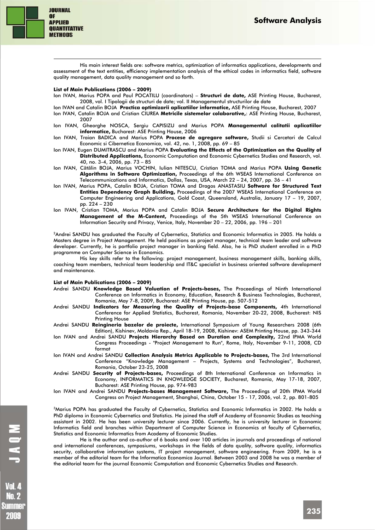

1

His main interest fields are: software metrics, optimization of informatics applications, developments and assessment of the text entities, efficiency implementation analysis of the ethical codes in informatics field, software quality management, data quality management and so forth.

#### **List of Main Publications (2006 – 2009)**

- Ion IVAN, Marius POPA and Paul POCATILU (coordinators) **Structuri de date,** ASE Printing House, Bucharest, 2008, vol. I Tipologii de structuri de date; vol. II Managementul structurilor de date
- Ion IVAN and Catalin BOJA **Practica optimizarii aplicatiilor informatice,** ASE Printing House, Bucharest, 2007
- Ion IVAN, Catalin BOJA and Cristian CIUREA **Metricile sistemelor colaborative,**: ASE Printing House, Bucharest, 2007
- Ion IVAN, Gheorghe NOSCA, Sergiu CAPISIZU and Marius POPA **Managementul calitatii aplicatiilor informatice,** Bucharest: ASE Printing House, 2006
- Ion IVAN, Traian BADICA and Marius POPA **Procese de agregare software,** Studii si Cercetari de Calcul Economic si Cibernetica Economica, vol. 42, no. 1, 2008, pp. 69 – 85
- Ion IVAN, Eugen DUMITRASCU and Marius POPA **Evaluating the Effects of the Optimization on the Quality of Distributed Applications,** Economic Computation and Economic Cybernetics Studies and Research, vol. 40, no. 3-4, 2006, pp. 73 – 85
- Ion IVAN, Cătălin BOJA, Marius VOCHIN, Iulian NITESCU, Cristian TOMA and Marius POPA **Using Genetic Algorithms in Software Optimization,** Proceedings of the 6th WSEAS International Conference on Telecommunications and Informatics, Dallas, Texas, USA, March 22 – 24, 2007, pp. 36 – 41
- Ion IVAN, Marius POPA, Catalin BOJA, Cristian TOMA and Dragos ANASTASIU **Software for Structured Text Entities Dependency Graph Building,** Proceedings of the 2007 WSEAS International Conference on Computer Engineering and Applications, Gold Coast, Queensland, Australia, January 17 – 19, 2007, pp. 224 – 230
- Ion IVAN, Cristian TOMA, Marius POPA and Catalin BOJA **Secure Architecture for the Digital Rights Management of the M-Content,** Proceedings of the 5th WSEAS International Conference on Information Security and Privacy, Venice, Italy, November 20 – 22, 2006, pp. 196 – 201

<sup>2</sup>Andrei SANDU has graduated the Faculty of Cybernetics, Statistics and Economic Informatics in 2005. He holds a Masters degree in Project Management. He held positions as project manager, technical team leader and software developer. Currently, he is portfolio project manager in banking field. Also, he is PhD student enrolled in a PhD programme on Computer Science in Economics.

His key skills refer to the following: project management, business management skills, banking skills, coaching team members, technical team leadership and IT&C specialist in business oriented software development and maintenance.

#### **List of Main Publications (2006 – 2009)**

- Andrei SANDU **Knowledge Based Valuation of Projects-bases,** The Proceedings of Ninth International Conference on Informatics in Economy, Education, Research & Business Technologies, Bucharest, Romania, May 7-8, 2009, Bucharest: ASE Printing House, pp. 507-512
- Andrei SANDU **Indicators for Measuring the Quality of Projects-base Components,** 4th International Conference for Applied Statistics, Bucharest, Romania, November 20-22, 2008, Bucharest: NIS Printing House
- Andrei SANDU **Reingineria bazelor de proiecte,** International Symposium of Young Researchers 2008 (6th Edition), Kishinev, Moldavia Rep., April 18-19, 2008, Kishinev: ASEM Printing House, pp. 343-344
- Ion IVAN and Andrei SANDU **Projects Hierarchy Based on Duration and Complexity,** 22nd IPMA World Congress Proceedings - "Project Management to Run", Rome, Italy, November 9-11, 2008, CD format
- Ion IVAN and Andrei SANDU **Collection Analysis Metrics Applicable to Projects-bases,** The 3rd International Conference "Knowledge Management – Projects, Systems and Technologies", Bucharest, Romania, October 23-25, 2008
- Andrei SANDU **Security of Projects-bases,** Proceedings of 8th International Conference on Informatics in Economy, INFORMATICS IN KNOWLEDGE SOCIETY, Bucharest, Romania, May 17-18, 2007, Bucharest: ASE Printing House, pp. 974-983
- Ion IVAN and Andrei SANDU **Projects-bases Management Software,** The Proceedings of 20th IPMA World Congress on Project Management, Shanghai, China, October 15 - 17, 2006, vol. 2, pp. 801-805

3Marius POPA has graduated the Faculty of Cybernetics, Statistics and Economic Informatics in 2002. He holds a PhD diploma in Economic Cybernetics and Statistics. He joined the staff of Academy of Economic Studies as teaching assistant in 2002. He has been university lecturer since 2006. Currently, he is university lecturer in Economic Informatics field and branches within Department of Computer Science in Economics at faculty of Cybernetics, Statistics and Economic Informatics from Academy of Economic Studies.

He is the author and co-author of 6 books and over 100 articles in journals and proceedings of national and international conferences, symposiums, workshops in the fields of data quality, software quality, informatics security, collaborative information systems, IT project management, software engineering. From 2009, he is a member of the editorial team for the Informatica Economica Journal. Between 2003 and 2008 he was a member of the editorial team for the journal Economic Computation and Economic Cybernetics Studies and Research.

**No. 2** Summer 21114